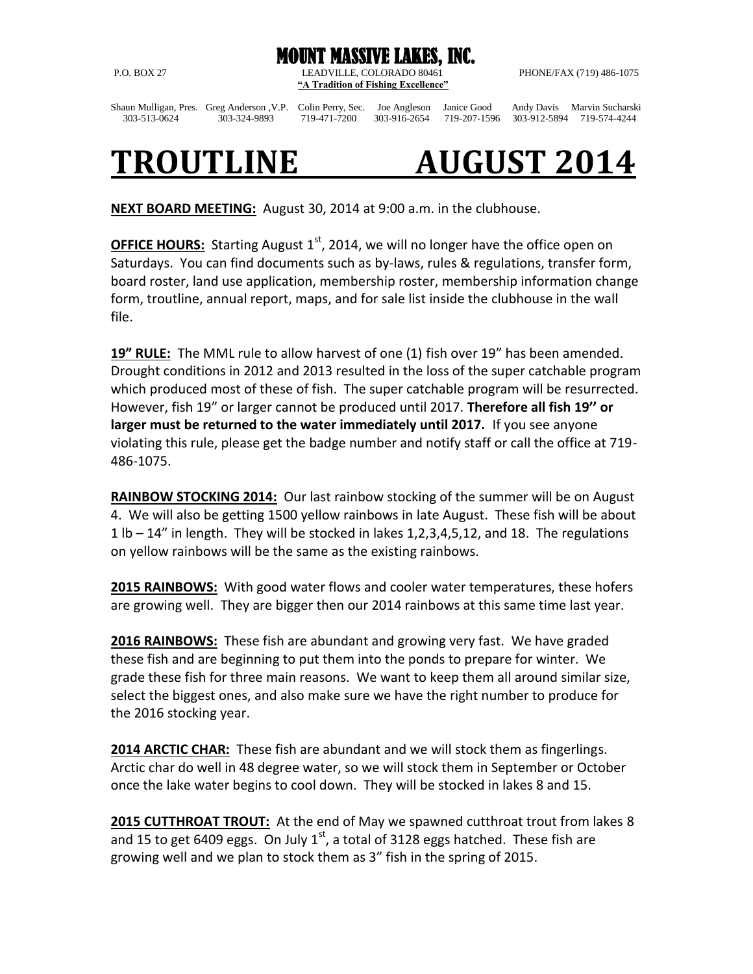

P.O. BOX 27 LEADVILLE, COLORADO 80461 PHONE/FAX (719) 486-1075 **"A Tradition of Fishing Excellence"**

Shaun Mulligan, Pres. Greg Anderson ,V.P. Colin Perry, Sec. Joe Angleson Janice Good Andy Davis Marvin Sucharski 303-513-0624 303-324-9893 719-471-7200 303-916-2654 719-207-1596 303-912-5894 719-574-4244

## **TROUTLINE AUGUST 2014**

**NEXT BOARD MEETING:** August 30, 2014 at 9:00 a.m. in the clubhouse.

**OFFICE HOURS:** Starting August 1<sup>st</sup>, 2014, we will no longer have the office open on Saturdays. You can find documents such as by-laws, rules & regulations, transfer form, board roster, land use application, membership roster, membership information change form, troutline, annual report, maps, and for sale list inside the clubhouse in the wall file.

**19" RULE:** The MML rule to allow harvest of one (1) fish over 19" has been amended. Drought conditions in 2012 and 2013 resulted in the loss of the super catchable program which produced most of these of fish. The super catchable program will be resurrected. However, fish 19" or larger cannot be produced until 2017. **Therefore all fish 19'' or larger must be returned to the water immediately until 2017.** If you see anyone violating this rule, please get the badge number and notify staff or call the office at 719- 486-1075.

**RAINBOW STOCKING 2014:** Our last rainbow stocking of the summer will be on August 4. We will also be getting 1500 yellow rainbows in late August. These fish will be about 1 lb – 14" in length. They will be stocked in lakes 1,2,3,4,5,12, and 18. The regulations on yellow rainbows will be the same as the existing rainbows.

**2015 RAINBOWS:** With good water flows and cooler water temperatures, these hofers are growing well. They are bigger then our 2014 rainbows at this same time last year.

**2016 RAINBOWS:** These fish are abundant and growing very fast. We have graded these fish and are beginning to put them into the ponds to prepare for winter. We grade these fish for three main reasons. We want to keep them all around similar size, select the biggest ones, and also make sure we have the right number to produce for the 2016 stocking year.

**2014 ARCTIC CHAR:** These fish are abundant and we will stock them as fingerlings. Arctic char do well in 48 degree water, so we will stock them in September or October once the lake water begins to cool down. They will be stocked in lakes 8 and 15.

**2015 CUTTHROAT TROUT:** At the end of May we spawned cutthroat trout from lakes 8 and 15 to get 6409 eggs. On July  $1<sup>st</sup>$ , a total of 3128 eggs hatched. These fish are growing well and we plan to stock them as 3" fish in the spring of 2015.